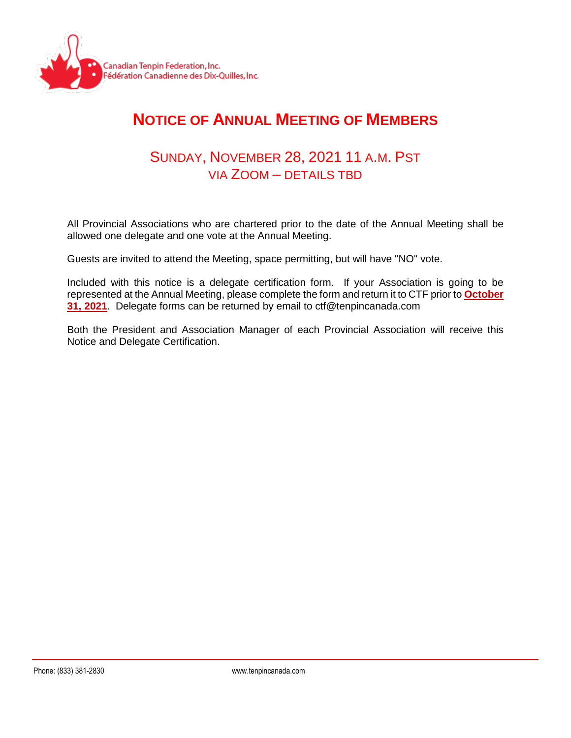

## **NOTICE OF ANNUAL MEETING OF MEMBERS**

## SUNDAY, NOVEMBER 28, 2021 11 A.M. PST VIA ZOOM – DETAILS TBD

All Provincial Associations who are chartered prior to the date of the Annual Meeting shall be allowed one delegate and one vote at the Annual Meeting.

Guests are invited to attend the Meeting, space permitting, but will have "NO" vote.

Included with this notice is a delegate certification form. If your Association is going to be represented at the Annual Meeting, please complete the form and return it to CTF prior to **October 31, 2021**. Delegate forms can be returned by email to ctf@tenpincanada.com

Both the President and Association Manager of each Provincial Association will receive this Notice and Delegate Certification.